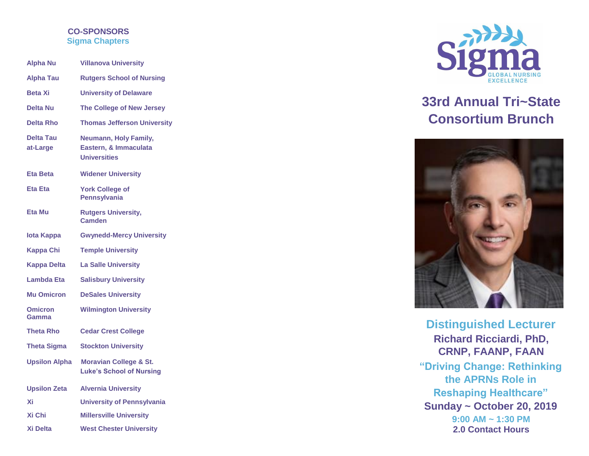### **CO -SPONSORS Sigma Chapters**

| <b>Alpha Nu</b>              | <b>Villanova University</b>                                           |  |
|------------------------------|-----------------------------------------------------------------------|--|
| <b>Alpha Tau</b>             | <b>Rutgers School of Nursing</b>                                      |  |
| <b>Beta Xi</b>               | <b>University of Delaware</b>                                         |  |
| <b>Delta Nu</b>              | The College of New Jersey                                             |  |
| <b>Delta Rho</b>             | <b>Thomas Jefferson University</b>                                    |  |
| <b>Delta Tau</b><br>at-Large | Neumann, Holy Family,<br>Eastern, & Immaculata<br><b>Universities</b> |  |
| <b>Eta Beta</b>              | <b>Widener University</b>                                             |  |
| <b>Eta Eta</b>               | <b>York College of</b><br><b>Pennsylvania</b>                         |  |
| Eta Mu                       | <b>Rutgers University,</b><br>Camden                                  |  |
| lota Kappa                   | <b>Gwynedd-Mercy University</b>                                       |  |
| Kappa Chi                    | <b>Temple University</b>                                              |  |
| <b>Kappa Delta</b>           | <b>La Salle University</b>                                            |  |
| <b>Lambda Eta</b>            | <b>Salisbury University</b>                                           |  |
| <b>Mu Omicron</b>            | <b>DeSales University</b>                                             |  |
| <b>Omicron</b><br>Gamma      | <b>Wilmington University</b>                                          |  |
| <b>Theta Rho</b>             | <b>Cedar Crest College</b>                                            |  |
| <b>Theta Sigma</b>           | <b>Stockton University</b>                                            |  |
| <b>Upsilon Alpha</b>         | <b>Moravian College &amp; St.</b><br><b>Luke's School of Nursing</b>  |  |
| <b>Upsilon Zeta</b>          | <b>Alvernia University</b>                                            |  |
| Xi                           | <b>University of Pennsylvania</b>                                     |  |
| Xi Chi                       | <b>Millersville University</b>                                        |  |
| <b>Xi Delta</b>              | <b>West Chester University</b>                                        |  |



## **33rd Annual Tri~State Consortium Brunch**



**Distinguished Lecturer Richard Ricciardi, PhD, CRNP, FAANP, FAAN "Driving Change: Rethinking the APRNs Role in Reshaping Healthcare" Sunday ~ October 20, 2019 9:00 AM ~ 1:30 PM 2.0 Contact Hours**